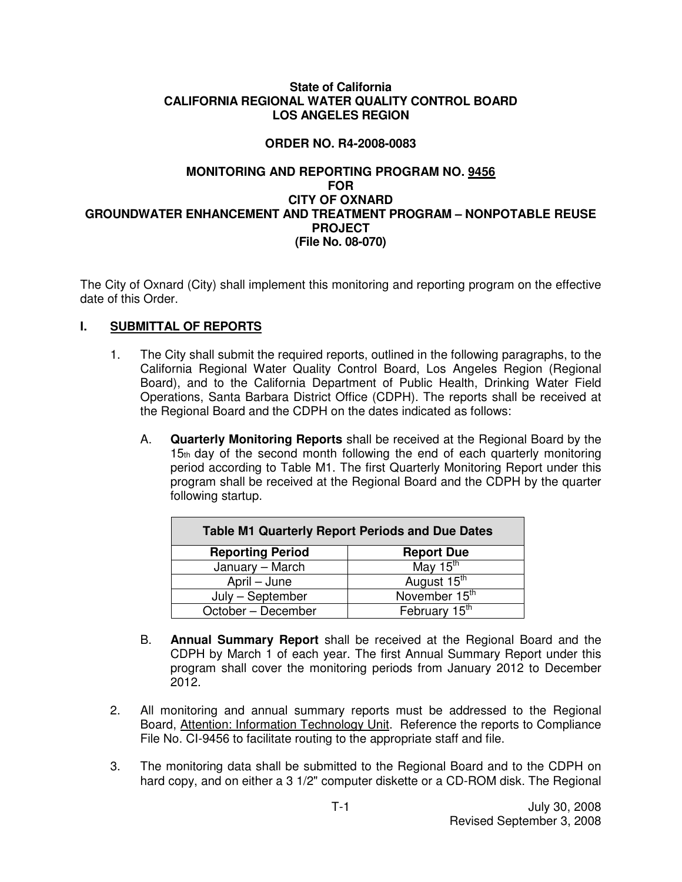#### **State of California CALIFORNIA REGIONAL WATER QUALITY CONTROL BOARD LOS ANGELES REGION**

# **ORDER NO. R4-2008-0083**

### **MONITORING AND REPORTING PROGRAM NO. 9456 FOR CITY OF OXNARD GROUNDWATER ENHANCEMENT AND TREATMENT PROGRAM – NONPOTABLE REUSE PROJECT (File No. 08-070)**

The City of Oxnard (City) shall implement this monitoring and reporting program on the effective date of this Order.

# **I. SUBMITTAL OF REPORTS**

- 1. The City shall submit the required reports, outlined in the following paragraphs, to the California Regional Water Quality Control Board, Los Angeles Region (Regional Board), and to the California Department of Public Health, Drinking Water Field Operations, Santa Barbara District Office (CDPH). The reports shall be received at the Regional Board and the CDPH on the dates indicated as follows:
	- A. **Quarterly Monitoring Reports** shall be received at the Regional Board by the 15th day of the second month following the end of each quarterly monitoring period according to Table M1. The first Quarterly Monitoring Report under this program shall be received at the Regional Board and the CDPH by the quarter following startup.

| <b>Table M1 Quarterly Report Periods and Due Dates</b> |                           |  |  |
|--------------------------------------------------------|---------------------------|--|--|
| <b>Reporting Period</b>                                | <b>Report Due</b>         |  |  |
| January - March                                        | May 15 <sup>th</sup>      |  |  |
| April – June                                           | August 15 <sup>th</sup>   |  |  |
| July - September                                       | November 15 <sup>th</sup> |  |  |
| October - December                                     | February 15 <sup>th</sup> |  |  |

- B. **Annual Summary Report** shall be received at the Regional Board and the CDPH by March 1 of each year. The first Annual Summary Report under this program shall cover the monitoring periods from January 2012 to December 2012.
- 2. All monitoring and annual summary reports must be addressed to the Regional Board, Attention: Information Technology Unit. Reference the reports to Compliance File No. CI-9456 to facilitate routing to the appropriate staff and file.
- 3. The monitoring data shall be submitted to the Regional Board and to the CDPH on hard copy, and on either a 3 1/2" computer diskette or a CD-ROM disk. The Regional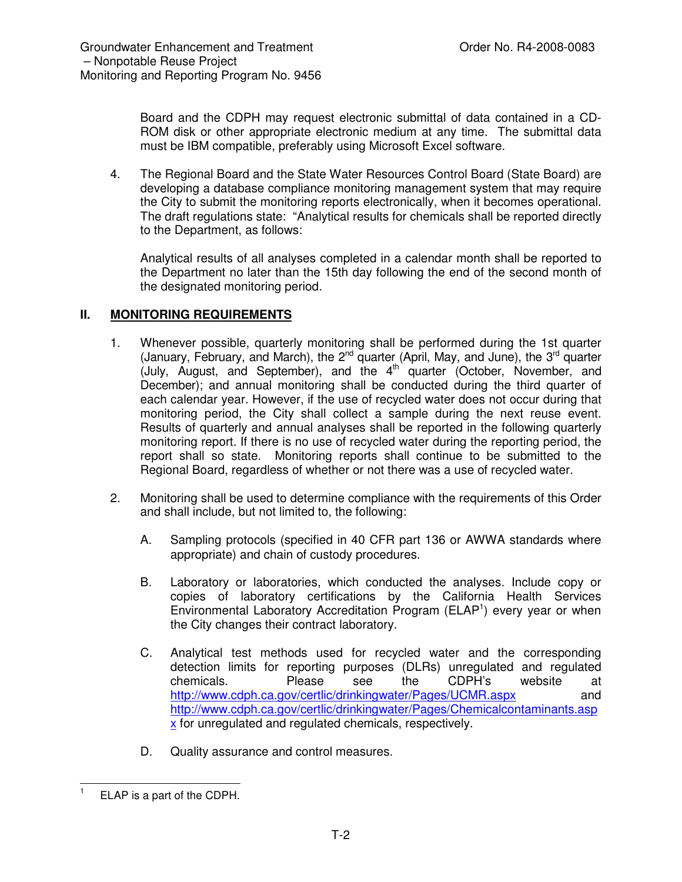Board and the CDPH may request electronic submittal of data contained in a CD-ROM disk or other appropriate electronic medium at any time. The submittal data must be IBM compatible, preferably using Microsoft Excel software.

4. The Regional Board and the State Water Resources Control Board (State Board) are developing a database compliance monitoring management system that may require the City to submit the monitoring reports electronically, when it becomes operational. The draft regulations state: "Analytical results for chemicals shall be reported directly to the Department, as follows:

Analytical results of all analyses completed in a calendar month shall be reported to the Department no later than the 15th day following the end of the second month of the designated monitoring period.

### **II. MONITORING REQUIREMENTS**

- 1. Whenever possible, quarterly monitoring shall be performed during the 1st quarter (January, February, and March), the 2<sup>nd</sup> quarter (April, May, and June), the 3<sup>rd</sup> quarter (July, August, and September), and the 4<sup>th</sup> quarter (October, November, and December); and annual monitoring shall be conducted during the third quarter of each calendar year. However, if the use of recycled water does not occur during that monitoring period, the City shall collect a sample during the next reuse event. Results of quarterly and annual analyses shall be reported in the following quarterly monitoring report. If there is no use of recycled water during the reporting period, the report shall so state. Monitoring reports shall continue to be submitted to the Regional Board, regardless of whether or not there was a use of recycled water.
- 2. Monitoring shall be used to determine compliance with the requirements of this Order and shall include, but not limited to, the following:
	- A. Sampling protocols (specified in 40 CFR part 136 or AWWA standards where appropriate) and chain of custody procedures.
	- B. Laboratory or laboratories, which conducted the analyses. Include copy or copies of laboratory certifications by the California Health Services Environmental Laboratory Accreditation Program (ELAP<sup>1</sup>) every year or when the City changes their contract laboratory.
	- C. Analytical test methods used for recycled water and the corresponding detection limits for reporting purposes (DLRs) unregulated and regulated<br>chemicals. Please see the CDPH's website at chemicals. Please see the CDPH's website at http://www.cdph.ca.gov/certlic/drinkingwater/Pages/UCMR.aspx and http://www.cdph.ca.gov/certlic/drinkingwater/Pages/Chemicalcontaminants.asp x for unregulated and regulated chemicals, respectively.
	- D. Quality assurance and control measures.

<sup>1</sup> ELAP is a part of the CDPH.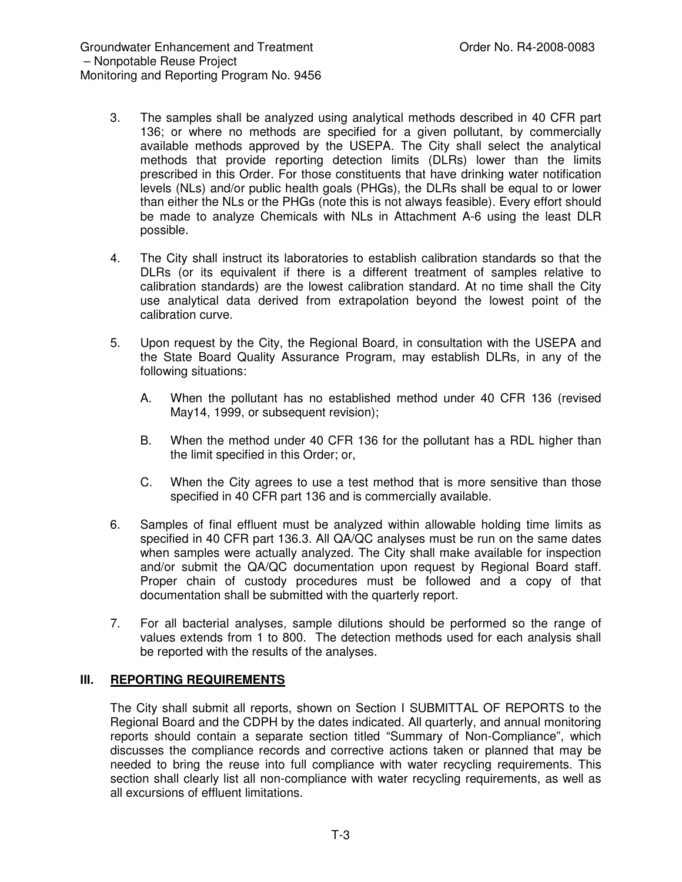- 3. The samples shall be analyzed using analytical methods described in 40 CFR part 136; or where no methods are specified for a given pollutant, by commercially available methods approved by the USEPA. The City shall select the analytical methods that provide reporting detection limits (DLRs) lower than the limits prescribed in this Order. For those constituents that have drinking water notification levels (NLs) and/or public health goals (PHGs), the DLRs shall be equal to or lower than either the NLs or the PHGs (note this is not always feasible). Every effort should be made to analyze Chemicals with NLs in Attachment A-6 using the least DLR possible.
- 4. The City shall instruct its laboratories to establish calibration standards so that the DLRs (or its equivalent if there is a different treatment of samples relative to calibration standards) are the lowest calibration standard. At no time shall the City use analytical data derived from extrapolation beyond the lowest point of the calibration curve.
- 5. Upon request by the City, the Regional Board, in consultation with the USEPA and the State Board Quality Assurance Program, may establish DLRs, in any of the following situations:
	- A. When the pollutant has no established method under 40 CFR 136 (revised May14, 1999, or subsequent revision);
	- B. When the method under 40 CFR 136 for the pollutant has a RDL higher than the limit specified in this Order; or,
	- C. When the City agrees to use a test method that is more sensitive than those specified in 40 CFR part 136 and is commercially available.
- 6. Samples of final effluent must be analyzed within allowable holding time limits as specified in 40 CFR part 136.3. All QA/QC analyses must be run on the same dates when samples were actually analyzed. The City shall make available for inspection and/or submit the QA/QC documentation upon request by Regional Board staff. Proper chain of custody procedures must be followed and a copy of that documentation shall be submitted with the quarterly report.
- 7. For all bacterial analyses, sample dilutions should be performed so the range of values extends from 1 to 800. The detection methods used for each analysis shall be reported with the results of the analyses.

# **III. REPORTING REQUIREMENTS**

The City shall submit all reports, shown on Section I SUBMITTAL OF REPORTS to the Regional Board and the CDPH by the dates indicated. All quarterly, and annual monitoring reports should contain a separate section titled "Summary of Non-Compliance", which discusses the compliance records and corrective actions taken or planned that may be needed to bring the reuse into full compliance with water recycling requirements. This section shall clearly list all non-compliance with water recycling requirements, as well as all excursions of effluent limitations.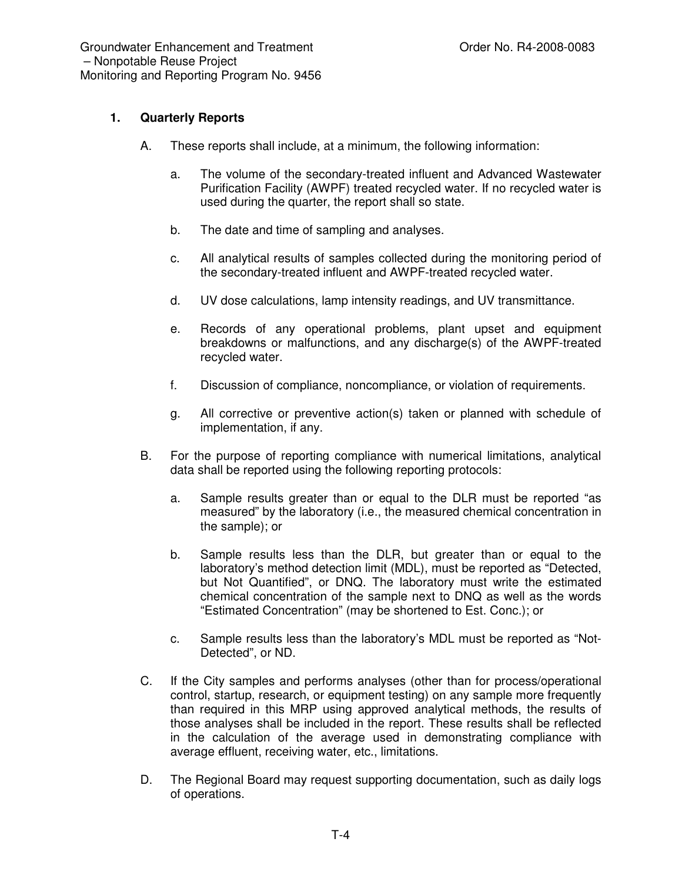# **1. Quarterly Reports**

- A. These reports shall include, at a minimum, the following information:
	- a. The volume of the secondary-treated influent and Advanced Wastewater Purification Facility (AWPF) treated recycled water. If no recycled water is used during the quarter, the report shall so state.
	- b. The date and time of sampling and analyses.
	- c. All analytical results of samples collected during the monitoring period of the secondary-treated influent and AWPF-treated recycled water.
	- d. UV dose calculations, lamp intensity readings, and UV transmittance.
	- e. Records of any operational problems, plant upset and equipment breakdowns or malfunctions, and any discharge(s) of the AWPF-treated recycled water.
	- f. Discussion of compliance, noncompliance, or violation of requirements.
	- g. All corrective or preventive action(s) taken or planned with schedule of implementation, if any.
- B. For the purpose of reporting compliance with numerical limitations, analytical data shall be reported using the following reporting protocols:
	- a. Sample results greater than or equal to the DLR must be reported "as measured" by the laboratory (i.e., the measured chemical concentration in the sample); or
	- b. Sample results less than the DLR, but greater than or equal to the laboratory's method detection limit (MDL), must be reported as "Detected, but Not Quantified", or DNQ. The laboratory must write the estimated chemical concentration of the sample next to DNQ as well as the words "Estimated Concentration" (may be shortened to Est. Conc.); or
	- c. Sample results less than the laboratory's MDL must be reported as "Not-Detected", or ND.
- C. If the City samples and performs analyses (other than for process/operational control, startup, research, or equipment testing) on any sample more frequently than required in this MRP using approved analytical methods, the results of those analyses shall be included in the report. These results shall be reflected in the calculation of the average used in demonstrating compliance with average effluent, receiving water, etc., limitations.
- D. The Regional Board may request supporting documentation, such as daily logs of operations.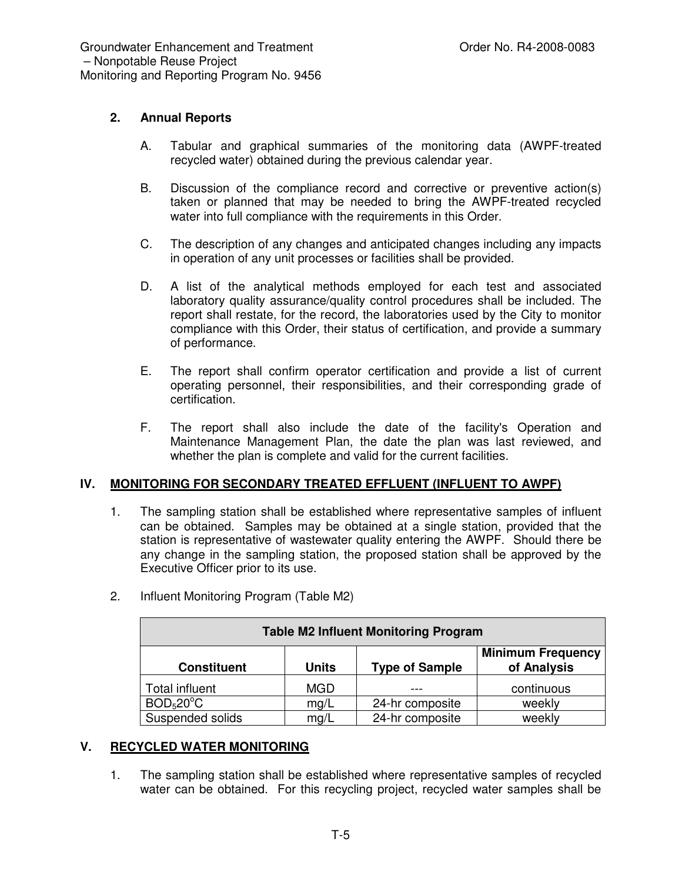### **2. Annual Reports**

- A. Tabular and graphical summaries of the monitoring data (AWPF-treated recycled water) obtained during the previous calendar year.
- B. Discussion of the compliance record and corrective or preventive action(s) taken or planned that may be needed to bring the AWPF-treated recycled water into full compliance with the requirements in this Order.
- C. The description of any changes and anticipated changes including any impacts in operation of any unit processes or facilities shall be provided.
- D. A list of the analytical methods employed for each test and associated laboratory quality assurance/quality control procedures shall be included. The report shall restate, for the record, the laboratories used by the City to monitor compliance with this Order, their status of certification, and provide a summary of performance.
- E. The report shall confirm operator certification and provide a list of current operating personnel, their responsibilities, and their corresponding grade of certification.
- F. The report shall also include the date of the facility's Operation and Maintenance Management Plan, the date the plan was last reviewed, and whether the plan is complete and valid for the current facilities.

#### **IV. MONITORING FOR SECONDARY TREATED EFFLUENT (INFLUENT TO AWPF)**

1. The sampling station shall be established where representative samples of influent can be obtained. Samples may be obtained at a single station, provided that the station is representative of wastewater quality entering the AWPF. Should there be any change in the sampling station, the proposed station shall be approved by the Executive Officer prior to its use.

| <b>Table M2 Influent Monitoring Program</b> |              |                       |                                         |
|---------------------------------------------|--------------|-----------------------|-----------------------------------------|
| <b>Constituent</b>                          | <b>Units</b> | <b>Type of Sample</b> | <b>Minimum Frequency</b><br>of Analysis |
| Total influent                              | <b>MGD</b>   |                       | continuous                              |
| BOD <sub>5</sub> 20°C                       | mg/L         | 24-hr composite       | weekly                                  |
| Suspended solids                            | mg/L         | 24-hr composite       | weekly                                  |

2. Influent Monitoring Program (Table M2)

### **V. RECYCLED WATER MONITORING**

1. The sampling station shall be established where representative samples of recycled water can be obtained. For this recycling project, recycled water samples shall be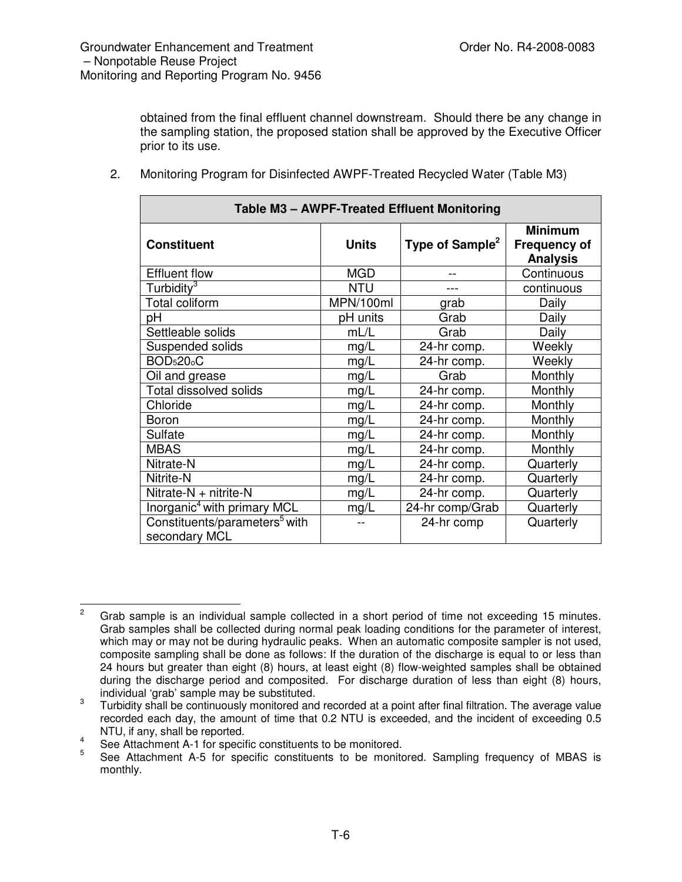obtained from the final effluent channel downstream. Should there be any change in the sampling station, the proposed station shall be approved by the Executive Officer prior to its use.

| Table M3 - AWPF-Treated Effluent Monitoring                |              |                             |                                                          |  |
|------------------------------------------------------------|--------------|-----------------------------|----------------------------------------------------------|--|
| <b>Constituent</b>                                         | <b>Units</b> | Type of Sample <sup>2</sup> | <b>Minimum</b><br><b>Frequency of</b><br><b>Analysis</b> |  |
| <b>Effluent flow</b>                                       | <b>MGD</b>   |                             | Continuous                                               |  |
| Turbidity <sup>3</sup>                                     | <b>NTU</b>   |                             | continuous                                               |  |
| <b>Total coliform</b>                                      | MPN/100ml    | grab                        | Daily                                                    |  |
| рH                                                         | pH units     | Grab                        | Daily                                                    |  |
| Settleable solids                                          | mL/L         | Grab                        | Daily                                                    |  |
| Suspended solids                                           | mg/L         | 24-hr comp.                 | Weekly                                                   |  |
| <b>BOD<sub>5</sub>20<sub>°</sub>C</b>                      | mg/L         | 24-hr comp.                 | Weekly                                                   |  |
| Oil and grease                                             | mg/L         | Grab                        | Monthly                                                  |  |
| <b>Total dissolved solids</b>                              | mg/L         | 24-hr comp.                 | Monthly                                                  |  |
| Chloride                                                   | mg/L         | 24-hr comp.                 | Monthly                                                  |  |
| Boron                                                      | mg/L         | 24-hr comp.                 | Monthly                                                  |  |
| Sulfate                                                    | mg/L         | 24-hr comp.                 | Monthly                                                  |  |
| <b>MBAS</b>                                                | mg/L         | 24-hr comp.                 | Monthly                                                  |  |
| Nitrate-N                                                  | mg/L         | 24-hr comp.                 | Quarterly                                                |  |
| Nitrite-N                                                  | mg/L         | 24-hr comp.                 | Quarterly                                                |  |
| Nitrate-N + nitrite-N                                      | mg/L         | 24-hr comp.                 | Quarterly                                                |  |
| Inorganic <sup>4</sup> with primary MCL                    | mg/L         | 24-hr comp/Grab             | Quarterly                                                |  |
| Constituents/parameters <sup>5</sup> with<br>secondary MCL |              | 24-hr comp                  | Quarterly                                                |  |

2. Monitoring Program for Disinfected AWPF-Treated Recycled Water (Table M3)

<sup>&</sup>lt;sup>2</sup> Grab sample is an individual sample collected in a short period of time not exceeding 15 minutes. Grab samples shall be collected during normal peak loading conditions for the parameter of interest, which may or may not be during hydraulic peaks. When an automatic composite sampler is not used, composite sampling shall be done as follows: If the duration of the discharge is equal to or less than 24 hours but greater than eight (8) hours, at least eight (8) flow-weighted samples shall be obtained during the discharge period and composited. For discharge duration of less than eight (8) hours, individual 'grab' sample may be substituted.

<sup>3</sup> Turbidity shall be continuously monitored and recorded at a point after final filtration. The average value recorded each day, the amount of time that 0.2 NTU is exceeded, and the incident of exceeding 0.5 NTU, if any, shall be reported.

<sup>4</sup> See Attachment A-1 for specific constituents to be monitored.

<sup>5</sup> See Attachment A-5 for specific constituents to be monitored. Sampling frequency of MBAS is monthly.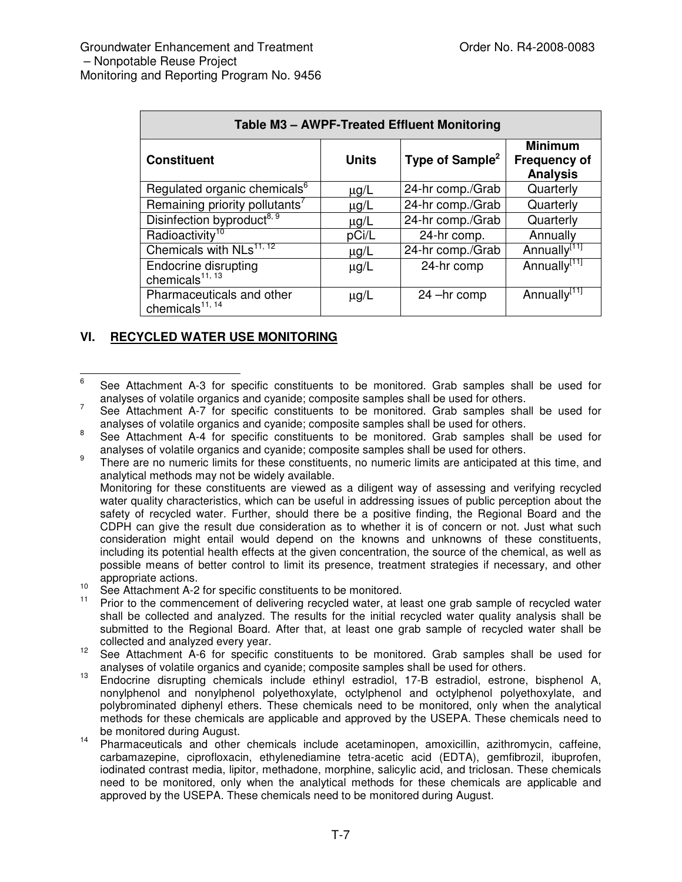| Table M3 - AWPF-Treated Effluent Monitoring         |              |                             |                                                          |  |
|-----------------------------------------------------|--------------|-----------------------------|----------------------------------------------------------|--|
| <b>Constituent</b>                                  | <b>Units</b> | Type of Sample <sup>2</sup> | <b>Minimum</b><br><b>Frequency of</b><br><b>Analysis</b> |  |
| Regulated organic chemicals <sup>6</sup>            | $\mu$ g/L    | 24-hr comp./Grab            | Quarterly                                                |  |
| Remaining priority pollutants <sup>7</sup>          | $\mu$ g/L    | 24-hr comp./Grab            | Quarterly                                                |  |
| Disinfection byproduct <sup>8, 9</sup>              | $\mu$ g/L    | 24-hr comp./Grab            | Quarterly                                                |  |
| Radioactivity <sup>10</sup>                         | pCi/L        | 24-hr comp.                 | Annually                                                 |  |
| Chemicals with NLs <sup>11, 12</sup>                | $\mu$ g/L    | 24-hr comp./Grab            | Annually <sup>[11]</sup>                                 |  |
| Endocrine disrupting<br>chemicals <sup>11, 13</sup> | $\mu$ g/L    | 24-hr comp                  | Annually <sup>[11]</sup>                                 |  |
| Pharmaceuticals and other<br>chemicals $11, 14$     | $\mu$ g/L    | 24 -hr comp                 | Annually <sup>[11]</sup>                                 |  |

# **VI. RECYCLED WATER USE MONITORING**

Monitoring for these constituents are viewed as a diligent way of assessing and verifying recycled water quality characteristics, which can be useful in addressing issues of public perception about the safety of recycled water. Further, should there be a positive finding, the Regional Board and the CDPH can give the result due consideration as to whether it is of concern or not. Just what such consideration might entail would depend on the knowns and unknowns of these constituents, including its potential health effects at the given concentration, the source of the chemical, as well as possible means of better control to limit its presence, treatment strategies if necessary, and other appropriate actions.

- 10 See Attachment A-2 for specific constituents to be monitored.
- 11 Prior to the commencement of delivering recycled water, at least one grab sample of recycled water shall be collected and analyzed. The results for the initial recycled water quality analysis shall be submitted to the Regional Board. After that, at least one grab sample of recycled water shall be collected and analyzed every year.
- 12 See Attachment A-6 for specific constituents to be monitored. Grab samples shall be used for analyses of volatile organics and cyanide; composite samples shall be used for others.
- 13 Endocrine disrupting chemicals include ethinyl estradiol, 17-B estradiol, estrone, bisphenol A, nonylphenol and nonylphenol polyethoxylate, octylphenol and octylphenol polyethoxylate, and polybrominated diphenyl ethers. These chemicals need to be monitored, only when the analytical methods for these chemicals are applicable and approved by the USEPA. These chemicals need to be monitored during August.
- 14 Pharmaceuticals and other chemicals include acetaminopen, amoxicillin, azithromycin, caffeine, carbamazepine, ciprofloxacin, ethylenediamine tetra-acetic acid (EDTA), gemfibrozil, ibuprofen, iodinated contrast media, lipitor, methadone, morphine, salicylic acid, and triclosan. These chemicals need to be monitored, only when the analytical methods for these chemicals are applicable and approved by the USEPA. These chemicals need to be monitored during August.

<sup>6</sup> See Attachment A-3 for specific constituents to be monitored. Grab samples shall be used for analyses of volatile organics and cyanide; composite samples shall be used for others.

<sup>7</sup> See Attachment A-7 for specific constituents to be monitored. Grab samples shall be used for analyses of volatile organics and cyanide; composite samples shall be used for others.

<sup>8</sup> See Attachment A-4 for specific constituents to be monitored. Grab samples shall be used for analyses of volatile organics and cyanide; composite samples shall be used for others.

<sup>9</sup> There are no numeric limits for these constituents, no numeric limits are anticipated at this time, and analytical methods may not be widely available.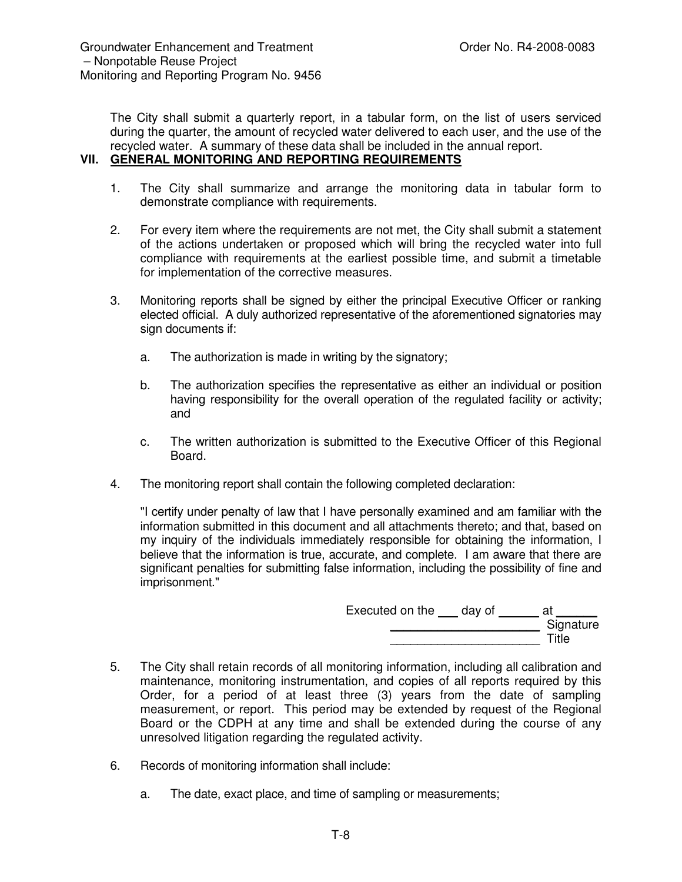The City shall submit a quarterly report, in a tabular form, on the list of users serviced during the quarter, the amount of recycled water delivered to each user, and the use of the recycled water. A summary of these data shall be included in the annual report. **VII. GENERAL MONITORING AND REPORTING REQUIREMENTS**

# 1. The City shall summarize and arrange the monitoring data in tabular form to demonstrate compliance with requirements.

- 2. For every item where the requirements are not met, the City shall submit a statement of the actions undertaken or proposed which will bring the recycled water into full compliance with requirements at the earliest possible time, and submit a timetable for implementation of the corrective measures.
- 3. Monitoring reports shall be signed by either the principal Executive Officer or ranking elected official. A duly authorized representative of the aforementioned signatories may sign documents if:
	- a. The authorization is made in writing by the signatory;
	- b. The authorization specifies the representative as either an individual or position having responsibility for the overall operation of the regulated facility or activity; and
	- c. The written authorization is submitted to the Executive Officer of this Regional Board.
- 4. The monitoring report shall contain the following completed declaration:

"I certify under penalty of law that I have personally examined and am familiar with the information submitted in this document and all attachments thereto; and that, based on my inquiry of the individuals immediately responsible for obtaining the information, I believe that the information is true, accurate, and complete. I am aware that there are significant penalties for submitting false information, including the possibility of fine and imprisonment."

| Executed on the | day of | at        |
|-----------------|--------|-----------|
|                 |        | Signature |
|                 |        | Title     |

- 5. The City shall retain records of all monitoring information, including all calibration and maintenance, monitoring instrumentation, and copies of all reports required by this Order, for a period of at least three (3) years from the date of sampling measurement, or report. This period may be extended by request of the Regional Board or the CDPH at any time and shall be extended during the course of any unresolved litigation regarding the regulated activity.
- 6. Records of monitoring information shall include:
	- a. The date, exact place, and time of sampling or measurements;